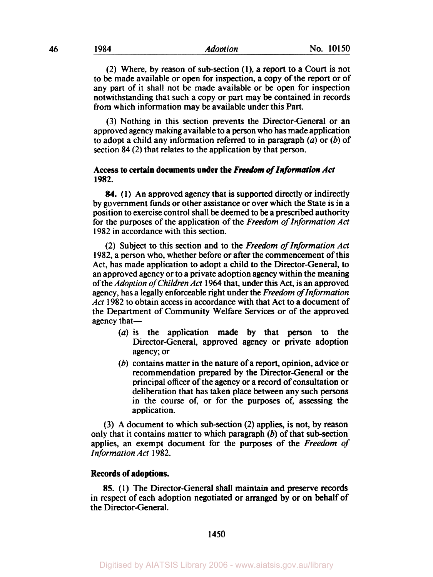(2) Where, by reason of subsection **(l),** a report to a Court is not to be made available or open for inspection, a copy of the report or of any part of it shall not be made available or be open for inspection notwithstanding that such a copy or part may be contained in records from which information may be available under this Part.

(3) Nothing in this section prevents the Director-General or an approved agency making available to a person who **has** made application to adopt a child any information referred to in paragraph *(a)* or (b) of section 84 (2) that relates to the application by that person.

## **Access to certain documents under the** *Freedom of Information Act*  **1982.**

*84.* (1) An approved agency that is supported directly or indirectly by government funds or other assistance or over which the State is in a position **to** exercise control shall be deemed to be a prescribed authority for the purposes of the application of the *Freedom of Information Act*  1982 in accordance with this section.

(2) Subject to this section and to the *Freedom of Information Act*  1982, a person who, whether before or after the commencement of this Act, has made application to adopt a child to the Director-General, to an approved agency or to a private adoption agency within the meaning of the *Adoption of Children Act* 1964 that, under this Act, is an approved agency, has a legally enforceable right under the *Freedom of lnformation Act* 1982 to obtain access in accordance with that Act to a document of the Department of Community Welfare Services or of the approved agency that-

- *(a)* is the application made by that person to the Director-General, approved agency or private adoption agency; or
- $(b)$  contains matter in the nature of a report, opinion, advice or recommendation prepared by the Director-General or the principal officer of the agency or a record of consultation or deliberation that has taken place between any such persons in the course **of,** or for the purposes **of,** assessing the application.

(3) A document to which sub-section (2) applies, is not, by reason only that it contains matter to which paragraph  $(b)$  of that sub-section applies, an exempt document for the purposes of the *Freedom* of *Information Act* 1982.

#### **Records of adoptions.**

**85.** (1) The Director-General shall maintain and preserve records in respect of each adoption negotiated or arranged by or on behalf of the Director-General.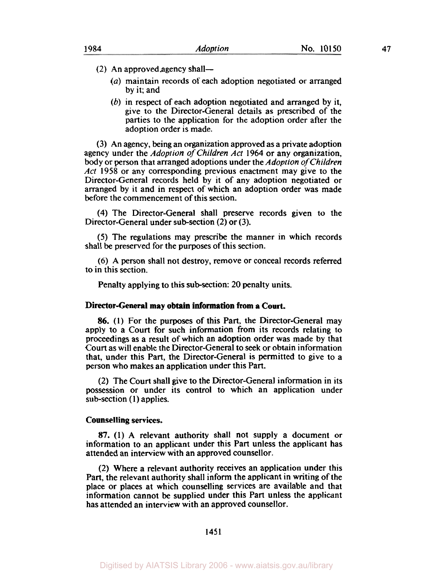- $(2)$  An approved agency shall-
	- *(a)* maintain records of each adoption negotiated or arranged by it; and
	- *(b)* in respect of each adoption negotiated and arranged by it, give to the Director-General details as prescribed of the parties to the application for the adoption order after the adoption order is made.

(3) An agency, being an organization approved as a private adoption agency under the *Adoption* of *Children Act* 1964 or any organization, body or person that arranged adoptions under the *Adoption* of *Children Act* 1958 or any corresponding previous enactment may give to the Director-General records held by it of any adoption negotiated or arranged by it and in respect of which an adoption order was made before the commencement of this section.

**(4)** The Director-General shall preserve records given to the Director-General under sub-section (2) or (3).

*(5)* The regulations may prescribe the manner in which records shall be preserved for the purposes of this section.

(6) A person shall not destroy, remove or conceal records referred to in this section.

Penalty applying to this sub-section: 20 penalty units.

#### **Director-General may obtain information from a Court.**

*86.* (1) **For** the purposes of this Part, the Director-General may apply to a Court for such information from its records relating to proceedings as a result of which an adoption order was made by that Court **as** will enable the Director-General to seek or obtain information that, under this Part, the Director-General is permitted to give to a person who makes an application under this Part.

(2) The Court shall give to the Director-General information in its possession or under its control to which an application under subsection **(1)** applies.

#### **Counselling services.**

**87. (1) A** relevant authority shall not supply a document or information to an applicant under this Part unless the applicant has attended an interview with an approved counsellor.

(2) Where a relevant authority receives an application under this Part, the relevant authority shall inform the applicant in writing of the place or places at which counselling services are available and that information cannot be supplied under this Part unless the applicant has attended an interview with an approved counsellor.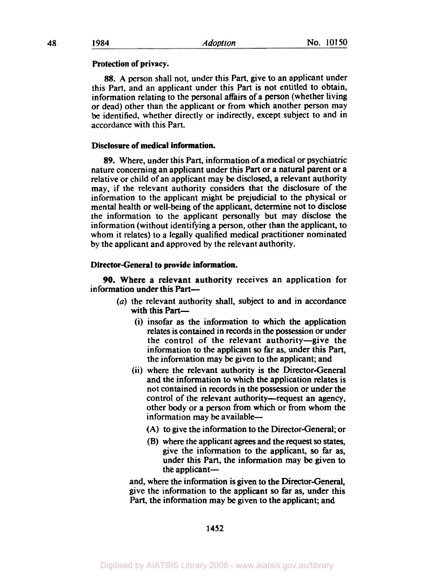### Protection of privacy.

*88.* A person shall not, under this Part, give to an applicant under this Part, and an applicant under this Part is not entitled to obtain, information relating to the personal affairs of a person (whether living or dead) other than the applicant or from which another person may be identified, whether directly or indirectly, except subject to and in accordance with this Part.

# Disclosure of medical information.

89. Where, under this Part, information of a medical or psychiatric nature concerning an applicant under this Part or a natural parent or a relative or child of an applicant may be disclosed, a relevant authority may, if the relevant authority considers that the disclosure of the information to the applicant might be prejudicial to the physical or mental health or well-being of the applicant, determine not to disclose the information to the applicant personally but may disclose the information (without identifying a person, other than the applicant, to whom it relates) to a legally qualified medical practitioner nominated by the applicant and approved by the relevant authority.

#### Director-General to provide information.

information under this Part-90. Where a relevant authority receives an application for

- *(a)* the relevant authority shall, subject to and in accordance with this Part-
	- (i) insofar as the information to which the application relates is contained in records in the possession or under the control of the relevant authority-give the information to the applicant *so* far as, under this Part, the information may be given to the applicant; and
	- (ii) where the relevant authority is the Director-General and the information to which the application relates is not contained in records in the possession or under the control of the relevant authority-request an agency, other body or a person from which or from whom the information may be available-
		- (A) to give the information to the Director-General; or
		- (B) where the applicant **agrees** and the request *so* states, give the information to the applicant, **so** far as, under this Part, the information may be given to the applicant-

and, where the information is given to the Director-General, give the information to the applicant **so** far as, under this Part, the information may be given to the applicant; and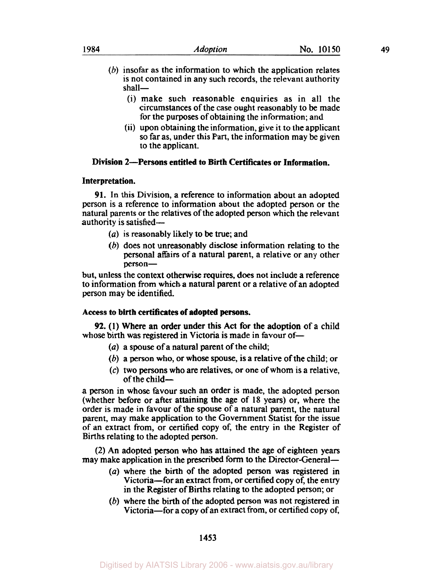- (i) make such reasonable enquiries as in all the circumstances of the case ought reasonably to be made for the purposes of obtaining the information; and
- (ii) upon obtaining the information, give it to the applicant **so** far as, under this Part, the information may be given to the applicant.

## **Division 2-Persons entitled to Birth Certificates or Information.**

## **Interpretation.**

shall-

**91.** In this Division, a reference to information about an adopted person is a reference to information about the adopted person or the natural parents or the relatives of the adopted person which the relevant authority is satisfied-

- *(a)* is reasonably likely to be true; and
- (b) does not unreasonably disclose information relating to the personal affairs of a natural parent, a relative or any other person-

but, unless the context otherwise requires, does not include a reference to information from which a natural parent or a relative of an adopted person may be identified.

## **Access to birth certificates of adopted persons.**

whose birth was registered in Victoria is made in favour of-**92.** (1) Where an order under this Act for the adoption of a child

- *(a)* a spouse of a natural parent of the child;
- (b) a person who, or whose spouse, is a relative of the child; or
- (c) two persons who are relatives, or one of whom is a relative, of the child-

a person in whose favour such an order is made, the adopted person (whether before or after attaining the age of 18 years) or, where the order is made in favour of the spouse of a natural parent, the natural parent, may make application to the Government Statist for the issue of an extract from, or certified copy of, the entry in the Register of Births relating to the adopted person.

(2) An adopted person who has attained the age of eighteen years may make application in the prescribed form to the Director-General-

- *(a)* where the birth of the adopted person was registered in Victoria-for an extract from, or certified copy of, the entry in the Register of Births relating to the adopted person; or
- (b) where the birth of the adopted person was not registered in Victoria-for a copy of an extract from, or certified copy **of,**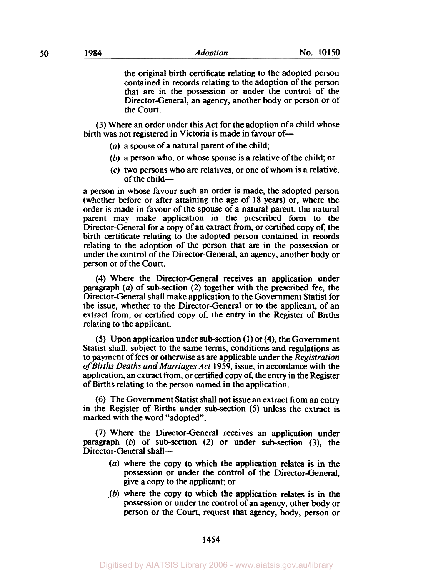the original birth certificate relating to the adopted person contained in records relating to the adoption of the person that are in the possession or under the control of the Director-General, an agency, another body or person or of the Court.

(3) Where an order under this Act for the adoption of a child whose birth was not registered in Victoria is made in favour of-

- *(a)* a spouse of a natural parent of the child;
- (b) a person who, or whose spouse is a relative of the child; or
- $(c)$  two persons who are relatives, or one of whom is a relative, of the child $-$

a person in whose favour such an order is made, the adopted person (whether before or after attaining the age of 18 years) or, where the order is made in favour of the spouse of a natural parent, the natural parent may make application in the prescribed form to the Director-General for a copy of an extract from, or certified copy **of,** the birth certificate relating to the adopted person contained in records relating to the adoption of the person that are in the possession or under the control of the Director-General, an agency, another body or person or of the Court.

(4) Where the Director-General receives an application under paragraph (a) of sub-section (2) together with the prescribed fee, the Director-General shall make application to the Government Statist for the issue, whether to the Director-General or to the applicant, of an extract from, or certified copy of, the entry in the Register of Births relating to the applicant.

*(5)* Upon application under subsection (1) or (4), the Government Statist shall, subject to the same terms, conditions and regulations as to payment of fees or otherwise as are applicable under the *Registration of Births Deaths and Marriages Act* 1959, issue, in accordance with the application, an extract from, or certified copy **of,** the entry in the Register of Births relating to the person named in the application.

(6) The Government Statist shall not issue an extract from an entry in the Register of Births under subsection *(5)* unless the extract is marked with the word "adopted".

(7) Where the Director-General receives an application under paragraph (b) of subsection (2) or under subsection **(3),** the Director-General shall-

- *(a)* where the copy to which the application relates is in the possession or under the control of the Director-General, give a copy to the applicant; or
- *(b)* where the copy to which the application relates is in the possession or under the control of an agency, other body or person or the Court, request that agency, body, person or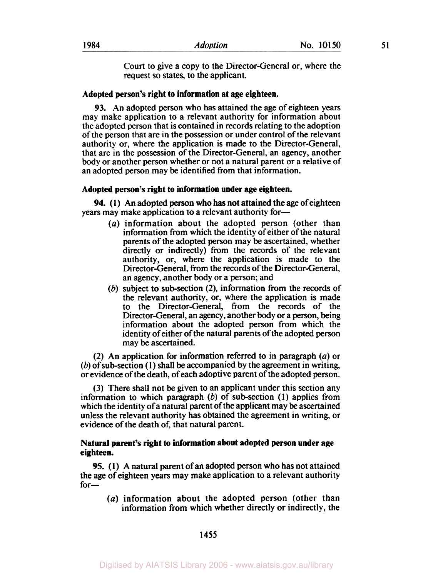Court to give a copy to the Director-General or, where the request **so** states, to the applicant.

#### **Adopted person's right to information at age eighteen.**

93. An adopted person who has attained the age of eighteen years may make application to a relevant authority for information about the adopted person that is contained in records relating to the adoption of the person that are in the possession or under control of the relevant authority or, where the application is made to the Director-General, that are in the possession of the Director-General, an agency, another body or another person whether or not a natural parent or a relative of an adopted person may be identified from that information.

#### **Adopted person's right to information under age eighteen.**

years may make application to a relevant authority for-**94.** (1) An adopted person who has not attained the age of eighteen

- *(a)* information about the adopted person (other than information from which the identity of either of the natural parents of the adopted person may be ascertained, whether directly or indirectly) from the records of the relevant authority, or, where the application is made to the Director-General, from the records of the Director-General, an agency, another body or a person; and
- (b) subject to sub-section **(2),** information from the records of the relevant authority, or, where the application is made to the Director-General, from the records of the Director-General, an agency, another body or a person, being information about the adopted person from which the identity of either of the natural parents of the adopted **person**  may be ascertained.

(2) An application for information referred to in paragraph *(a)* or  $(b)$  of sub-section (1) shall be accompanied by the agreement in writing. or evidence of the death, of each adoptive parent of the adopted person.

(3) There shall not be given to an applicant under this section any information to which paragraph  $(b)$  of sub-section  $(1)$  applies from which the identity of a natural parent of the applicant may be ascertained unless the relevant authority has obtained the agreement in writing, or evidence of the death of, that natural parent.

## **Natural parent's right to information about adopted person under age eighteen.**

*95.* (1) **A** natural parent of an adopted person who has not attained the age of eighteen years may make application to a relevant authority for-

(a) information about the adopted person (other than information from which whether directly or indirectly, the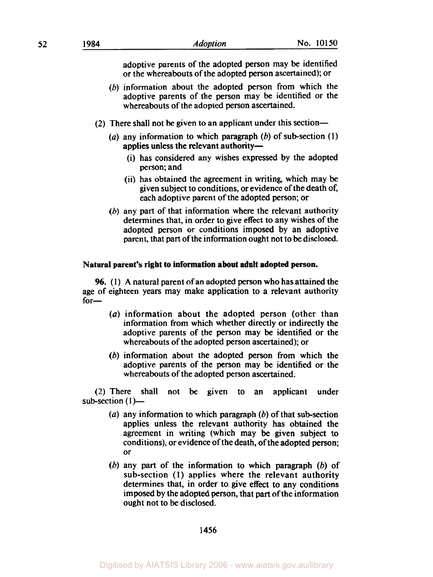- (b) information about the adopted person from which the adoptive parents of the person may be identified or the whereabouts of the adopted person ascertained.
- (2) There shall not be given to an applicant under this section-
	- (a) any information to which paragraph  $(b)$  of sub-section  $(1)$ applies unless the relevant authority-
		- (i) has considered any wishes expressed by the adopted person; and
		- (ii) has obtained the agreement in writing, which may be given subject to conditions, or evidence of the death of, each adoptive parent of the adopted person; or
	- (b) any part of that information where the relevant authority determines that, in order to give effect to any wishes of the adopted person or conditions imposed by an adoptive parent, that part of the information ought not to be disclosed.

## **Natural parent's right to information about adult adopted person.**

**96. (1)** A natural parent of an adopted person who has attained the age of eighteen years may make application to a relevant authority for—

- *(a)* information about the adopted person (other than information from which whether directly or indirectly the adoptive parents of the person may be identified or the whereabouts of the adopted person ascertained); or
- (b) information about the adopted person from which the adoptive parents of the person may be identified or the whereabouts of the adopted person ascertained.

(2) There shall not be given to an applicant under sub-section  $(1)$ -

- (a) any information to which paragraph  $(b)$  of that sub-section applies unless the relevant authority has obtained the agreement in writing (which may be given subject to conditions), or evidence of the death, of the adopted person; or
- (b) any part of the information to which paragraph (b) of sub-section (1) applies where the relevant authority determines that, in order to. give effect to any conditions imposed by the adopted person, that part of the information ought not to be disclosed.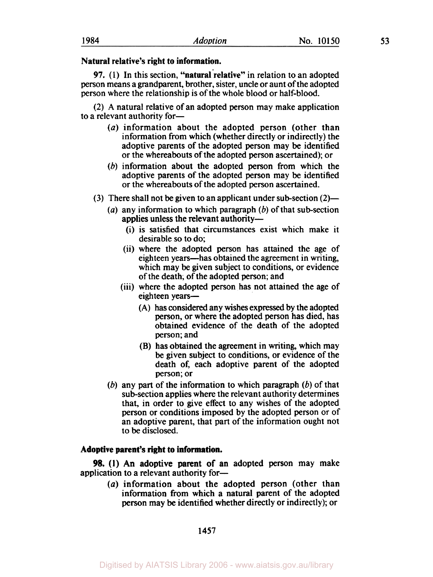### **Natural relative's right to information.**

**97. (1)** In this section, **''natural 'relative''** in relation to an adopted person means a grandparent, brother, sister, uncle or aunt of the adopted person where the relationship is of the whole blood or half-blood.

(2) A natural relative of an adopted person may make application to a relevant authority for-

- *(a)* information about the adopted person (other than information from which (whether directly or indirectly) the adoptive parents of the adopted person may be identified or the whereabouts of the adopted person ascertained); or
- (b) information about the adopted person from which the adoptive parents of the adopted person may be identified or the whereabouts of the adopted person ascertained.
- (3) There shall not be given to an applicant under subsection **(2)-** 
	- (a) any information to which paragraph  $(b)$  of that sub-section applies unless the relevant authority-
		- (i) is satisfied that circumstances exist which make it desirable **so** to do;
		- (ii) where the adopted person has attained the age of eighteen years—has obtained the agreement in writing, which may be given subject to conditions, or evidence of the death; of the adopted person; and
		- (iii) where the adopted person has not attained the age of eighteen vears-
			- (A) has considered any wishes expressed by the adopted person, or where the adopted person has died, has obtained evidence of the death of the adopted person; and
			- (B) has obtained the agreement in writing, which may be given subject to conditions, or evidence of the death **of,** each adoptive parent of the adopted person; or
	- (b) any part of the information to which paragraph  $(b)$  of that sub-section applies where the relevant authority determines that, in order to give effect to any wishes of the adopted person or conditions imposed by the adopted person or of an adoptive parent, that part of the information ought not to be disclosed.

### **Adoptive parent's right to information.**

application to a relevant authority for-*98.* **(1)** An adoptive parent of an adopted person may make

> *(a)* information about the adopted person (other than information from which a natural parent of the adopted person may be identified whether directly or indirectly); or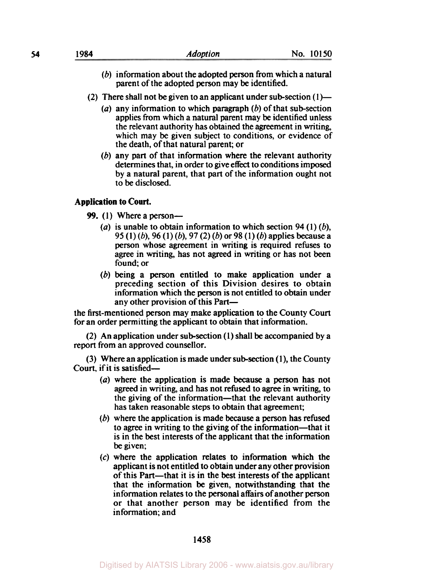- (b) information about the adopted person from which a natural parent of the adopted person may be identified.
- (2) There shall not be given to an applicant under sub-section  $(1)$ 
	- (a) any information to which paragraph  $(b)$  of that sub-section applies from which a natural parent may be identified unless the relevant authority has obtained the agreement in writing, which may be given subject to conditions, or evidence of the death, of that natural parent; or
	- (b) any part of that information where the relevant authority determines that, in order to give effect to conditions imposed by a natural parent, that part of the information ought not to be disclosed.

# **Application to** *Court.*

- **99.** (1) Where a person—
	- (a) is unable to obtain information to which section 94 (1)  $(b)$ , *95* (1) (b), 96 (1) (b), 97 (2) (b) or 98 (1) (b) applies because a person whose agreement in writing is required refuses to agree in writing, has not agreed in writing or has not been found; or
	- (b) being a person entitled to make application under a preceding section of this Division desires to obtain information which the person is not entitled to obtain under any other provision of this Part-

the first-mentioned person may make application to the County Court for an order permitting the applicant to obtain that information.

(2) An application under subsection (1) shall be accompanied by a report from an approved counsellor.

(3) Where an application is made under subsection (1), the County Court, if it is satisfied-

- *(a)* where the application is made because **a** person has not agreed in writing, and has not refused to agree in writing, to the giving of the information—that the relevant authority has taken reasonable steps to obtain that agreement;
- (b) where the application is made because a person has refused to agree in writing to the giving of the information-that it is in the best interests of the applicant that the information be given;
- (c) where the application relates to information which the applicant is not entitled to obtain under any other provision of this Part—that it is in the best interests of the applicant that the information be given, notwithstanding that the information relates to the personal affairs of another person or that another person may be identified from the information; and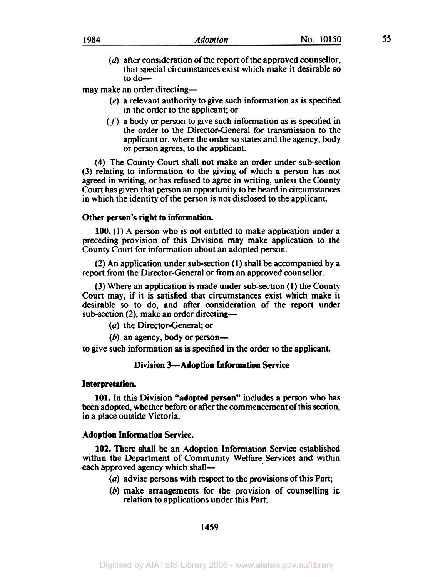| 1984 | Adoption | <b>150</b><br>NΩ<br>. . |  |
|------|----------|-------------------------|--|
|      |          |                         |  |

**(d)** after consideration of the report of the approved counsellor, that special circumstances exist which make it desirable so to do-

may make an order directing-

- (e) a relevant authority to give such information as is specified in the order to the applicant; or
- $(f)$  a body or person to give such information as is specified in the order to the Director-General for transmission to the applicant or, where the order **so** states and the agency, body or person agrees, to the applicant.

(4) The County Court shall not make an order under sub-section (3) relating to information to the giving of which a person has not agreed in writing, or has refused to agree in writing, unless the County Court has given that person an opportunity to be heard in circumstances in which the identity of the person is not disclosed to the applicant.

### **Other person's right to information.**

**100.** (1) A person who is not entitled to make application under a preceding provision of this Division may make application to the County Court for information about an adopted person.

(2) An application under subsection **(1)** shall **be** accompanied by a report from the Director-General or from an approved counsellor.

(3) Where an application is made under subsection (1) the County Court may, if it is satisfied that circumstances exist which make it desirable so to do, and after consideration of the report under sub-section (2), make an order directing-

*(a)* the Director-General; or

 $(b)$  an agency, body or person-

to give such information as is specified in the order to the applicant.

### **Division 3-Adoption Information Service**

### **Interpretation.**

**101.** In this Division **"adopted person"** includes a person who has been adopted, whether before or after the commencement of this section, in a place outside Victoria.

### **Adoption Information Service.**

**102.** There shall **be** an Adoption Information Service established within the Department of Community Welfare Services and within each approved agency which shall-

- *(a)* advise persons with respect to the provisions of this Part;
- *(b)* make arrangements for the provision of counselling in relation to applications under this Part;